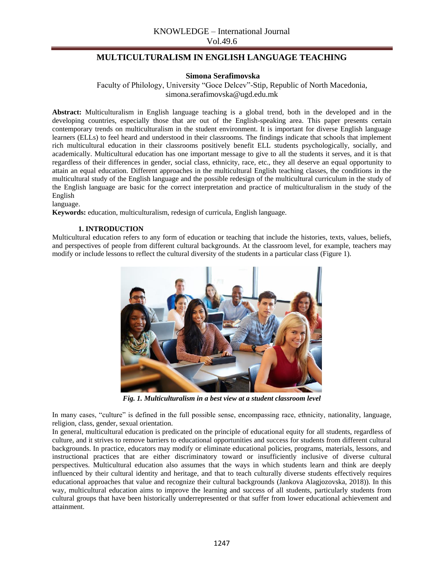# **MULTICULTURALISM IN ENGLISH LANGUAGE TEACHING**

### **Simona Serafimovska**

Faculty of Philology, University "Goce Delcev"-Stip, Republic of North Macedonia, simona.serafimovska@ugd.edu.mk

**Abstract:** Multiculturalism in English language teaching is a global trend, both in the developed and in the developing countries, especially those that are out of the English-speaking area. This paper presents certain contemporary trends on multiculturalism in the student environment. It is important for diverse English language learners (ELLs) to feel heard and understood in their classrooms. The findings indicate that schools that implement rich multicultural education in their classrooms positively benefit ELL students psychologically, socially, and academically. Multicultural education has one important message to give to all the students it serves, and it is that regardless of their differences in gender, social class, ethnicity, race, etc., they all deserve an equal opportunity to attain an equal education. Different approaches in the multicultural English teaching classes, the conditions in the multicultural study of the English language and the possible redesign of the multicultural curriculum in the study of the English language are basic for the correct interpretation and practice of multiculturalism in the study of the English

#### language.

**Keywords:** education, multiculturalism, redesign of curricula, English language.

#### **1. INTRODUCTION**

Multicultural education refers to any form of education or teaching that include the histories, texts, values, beliefs, and perspectives of people from different cultural backgrounds. At the classroom level, for example, teachers may modify or include lessons to reflect the cultural diversity of the students in a particular class (Figure 1).



*Fig. 1. Multiculturalism in a best view at a student classroom level*

In many cases, "culture" is defined in the full possible sense, encompassing race, ethnicity, nationality, language, religion, class, gender, sexual orientation.

In general, multicultural education is predicated on the principle of educational equity for all students, regardless of culture, and it strives to remove barriers to educational opportunities and success for students from different cultural backgrounds. In practice, educators may modify or eliminate educational policies, programs, materials, lessons, and instructional practices that are either discriminatory toward or insufficiently inclusive of diverse cultural perspectives. Multicultural education also assumes that the ways in which students learn and think are deeply influenced by their cultural identity and heritage, and that to teach culturally diverse students effectively requires educational approaches that value and recognize their cultural backgrounds (Jankova Alagjozovska, 2018)). In this way, multicultural education aims to improve the learning and success of all students, particularly students from cultural groups that have been historically underrepresented or that suffer from lower educational achievement and attainment.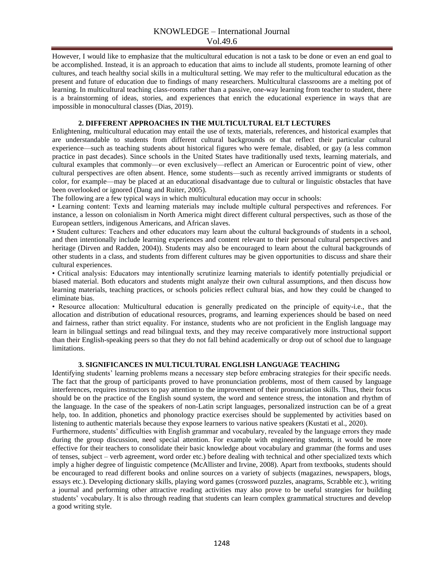However, I would like to emphasize that the multicultural education is not a task to be done or even an end goal to be accomplished. Instead, it is an approach to education that aims to include all students, promote learning of other cultures, and teach healthy social skills in a multicultural setting. We may refer to the multicultural education as the present and future of education due to findings of many researchers. Multicultural classrooms are a melting pot of learning. In multicultural teaching class-rooms rather than a passive, one-way learning from teacher to student, there is a brainstorming of ideas, stories, and experiences that enrich the educational experience in ways that are impossible in monocultural classes (Dias, 2019).

#### **2. DIFFERENT APPROACHES IN THE MULTICULTURAL ELT LECTURES**

Enlightening, multicultural education may entail the use of texts, materials, references, and historical examples that are understandable to students from different cultural backgrounds or that reflect their particular cultural experience—such as teaching students about historical figures who were female, disabled, or gay (a less common practice in past decades). Since schools in the United States have traditionally used texts, learning materials, and cultural examples that commonly—or even exclusively—reflect an American or Eurocentric point of view, other cultural perspectives are often absent. Hence, some students—such as recently arrived immigrants or students of color, for example—may be placed at an educational disadvantage due to cultural or linguistic obstacles that have been overlooked or ignored (Dang and Ruiter, 2005).

The following are a few typical ways in which multicultural education may occur in schools:

• Learning content: Texts and learning materials may include multiple cultural perspectives and references. For instance, a lesson on colonialism in North America might direct different cultural perspectives, such as those of the European settlers, indigenous Americans, and African slaves.

• Student cultures: Teachers and other educators may learn about the cultural backgrounds of students in a school, and then intentionally include learning experiences and content relevant to their personal cultural perspectives and heritage (Dirven and Radden, 2004)). Students may also be encouraged to learn about the cultural backgrounds of other students in a class, and students from different cultures may be given opportunities to discuss and share their cultural experiences.

• Critical analysis: Educators may intentionally scrutinize learning materials to identify potentially prejudicial or biased material. Both educators and students might analyze their own cultural assumptions, and then discuss how learning materials, teaching practices, or schools policies reflect cultural bias, and how they could be changed to eliminate bias.

• Resource allocation: Multicultural education is generally predicated on the principle of equity-i.e., that the allocation and distribution of educational resources, programs, and learning experiences should be based on need and fairness, rather than strict equality. For instance, students who are not proficient in the English language may learn in bilingual settings and read bilingual texts, and they may receive comparatively more instructional support than their English-speaking peers so that they do not fall behind academically or drop out of school due to language limitations.

#### **3. SIGNIFICANCES IN MULTICULTURAL ENGLISH LANGUAGE TEACHING**

Identifying students' learning problems means a necessary step before embracing strategies for their specific needs. The fact that the group of participants proved to have pronunciation problems, most of them caused by language interferences, requires instructors to pay attention to the improvement of their pronunciation skills. Thus, their focus should be on the practice of the English sound system, the word and sentence stress, the intonation and rhythm of the language. In the case of the speakers of non-Latin script languages, personalized instruction can be of a great help, too. In addition, phonetics and phonology practice exercises should be supplemented by activities based on listening to authentic materials because they expose learners to various native speakers (Kustati et al., 2020).

Furthermore, students' difficulties with English grammar and vocabulary, revealed by the language errors they made during the group discussion, need special attention. For example with engineering students, it would be more effective for their teachers to consolidate their basic knowledge about vocabulary and grammar (the forms and uses of tenses, subject – verb agreement, word order etc.) before dealing with technical and other specialized texts which imply a higher degree of linguistic competence (McAllister and Irvine, 2008). Apart from textbooks, students should be encouraged to read different books and online sources on a variety of subjects (magazines, newspapers, blogs, essays etc.). Developing dictionary skills, playing word games (crossword puzzles, anagrams, Scrabble etc.), writing a journal and performing other attractive reading activities may also prove to be useful strategies for building students' vocabulary. It is also through reading that students can learn complex grammatical structures and develop a good writing style.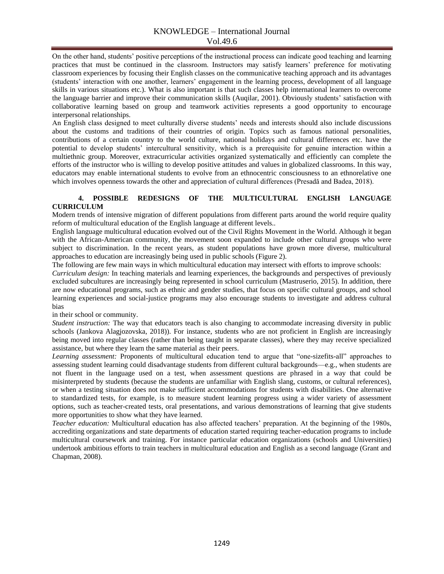On the other hand, students' positive perceptions of the instructional process can indicate good teaching and learning practices that must be continued in the classroom. Instructors may satisfy learners' preference for motivating classroom experiences by focusing their English classes on the communicative teaching approach and its advantages (students' interaction with one another, learners' engagement in the learning process, development of all language skills in various situations etc.). What is also important is that such classes help international learners to overcome the language barrier and improve their communication skills (Auqilar, 2001). Obviously students' satisfaction with collaborative learning based on group and teamwork activities represents a good opportunity to encourage interpersonal relationships.

An English class designed to meet culturally diverse students' needs and interests should also include discussions about the customs and traditions of their countries of origin. Topics such as famous national personalities, contributions of a certain country to the world culture, national holidays and cultural differences etc. have the potential to develop students' intercultural sensitivity, which is a prerequisite for genuine interaction within a multiethnic group. Moreover, extracurricular activities organized systematically and efficiently can complete the efforts of the instructor who is willing to develop positive attitudes and values in globalized classrooms. In this way, educators may enable international students to evolve from an ethnocentric consciousness to an ethnorelative one which involves openness towards the other and appreciation of cultural differences (Presadă and Badea, 2018).

#### **4. POSSIBLE REDESIGNS OF THE MULTICULTURAL ENGLISH LANGUAGE CURRICULUM**

Modern trends of intensive migration of different populations from different parts around the world require quality reform of multicultural education of the English language at different levels..

English language multicultural education evolved out of the Civil Rights Movement in the World. Although it began with the African-American community, the movement soon expanded to include other cultural groups who were subject to discrimination. In the recent years, as student populations have grown more diverse, multicultural approaches to education are increasingly being used in public schools (Figure 2).

The following are few main ways in which multicultural education may intersect with efforts to improve schools:

*Curriculum design:* In teaching materials and learning experiences, the backgrounds and perspectives of previously excluded subcultures are increasingly being represented in school curriculum (Mastruserio, 2015). In addition, there are now educational programs, such as ethnic and gender studies, that focus on specific cultural groups, and school learning experiences and social-justice programs may also encourage students to investigate and address cultural bias

in their school or community.

*Student instruction:* The way that educators teach is also changing to accommodate increasing diversity in public schools (Jankova Alagjozovska, 2018)). For instance, students who are not proficient in English are increasingly being moved into regular classes (rather than being taught in separate classes), where they may receive specialized assistance, but where they learn the same material as their peers.

*Learning assessment:* Proponents of multicultural education tend to argue that "one-sizefits-all" approaches to assessing student learning could disadvantage students from different cultural backgrounds—e.g., when students are not fluent in the language used on a test, when assessment questions are phrased in a way that could be misinterpreted by students (because the students are unfamiliar with English slang, customs, or cultural references), or when a testing situation does not make sufficient accommodations for students with disabilities. One alternative to standardized tests, for example, is to measure student learning progress using a wider variety of assessment options, such as teacher-created tests, oral presentations, and various demonstrations of learning that give students more opportunities to show what they have learned.

*Teacher education:* Multicultural education has also affected teachers' preparation. At the beginning of the 1980s, accrediting organizations and state departments of education started requiring teacher-education programs to include multicultural coursework and training. For instance particular education organizations (schools and Universities) undertook ambitious efforts to train teachers in multicultural education and English as a second language (Grant and Chapman, 2008).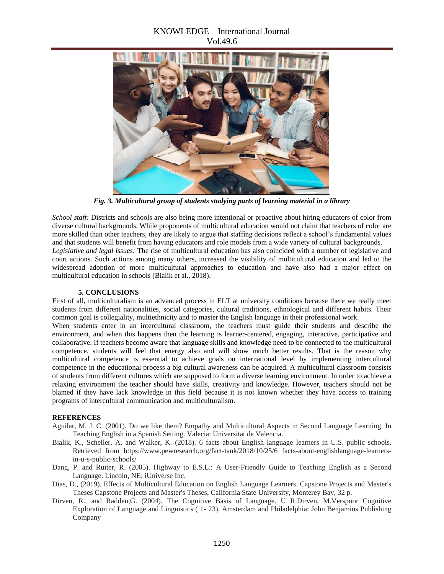## KNOWLEDGE – International Journal Vol.49.6



*Fig. 3. Multicultural group of students studying parts of learning material in a library*

*School staff:* Districts and schools are also being more intentional or proactive about hiring educators of color from diverse cultural backgrounds. While proponents of multicultural education would not claim that teachers of color are more skilled than other teachers, they are likely to argue that staffing decisions reflect a school's fundamental values and that students will benefit from having educators and role models from a wide variety of cultural backgrounds. *Legislative and legal issues:* The rise of multicultural education has also coincided with a number of legislative and court actions. Such actions among many others, increased the visibility of multicultural education and led to the widespread adoption of more multicultural approaches to education and have also had a major effect on multicultural education in schools (Bialik et al., 2018).

#### **5. CONCLUSIONS**

First of all, multiculturalism is an advanced process in ELT at university conditions because there we really meet students from different nationalities, social categories, cultural traditions, ethnological and different habits. Their common goal is collegiality, multiethnicity and to master the English language in their professional work.

When students enter in an intercultural classroom, the teachers must guide their students and describe the environment, and when this happens then the learning is learner-centered, engaging, interactive, participative and collaborative. If teachers become aware that language skills and knowledge need to be connected to the multicultural competence, students will feel that energy also and will show much better results. That is the reason why multicultural competence is essential to achieve goals on international level by implementing intercultural competence in the educational process a big cultural awareness can be acquired. A multicultural classroom consists of students from different cultures which are supposed to form a diverse learning environment. In order to achieve a relaxing environment the teacher should have skills, creativity and knowledge. However, teachers should not be blamed if they have lack knowledge in this field because it is not known whether they have access to training programs of intercultural communication and multiculturalism.

#### **REFERENCES**

- Aguilar, M. J. C. (2001). Do we like them? Empathy and Multicultural Aspects in Second Language Learning. In Teaching English in a Spanish Setting. Valecia: Universitat de Valencia.
- Bialik, K., Scheller, A. and Walker, K. (2018). 6 facts about English language learners in U.S. public schools. Retrieved from https://www.pewresearch.org/fact-tank/2018/10/25/6 facts-about-englishlanguage-learnersin-u-s-public-schools/
- Dang, P. and Ruiter, R. (2005). Highway to E.S.L.: A User-Friendly Guide to Teaching English as a Second Language. Lincoln, NE: iUniverse Inc.
- Dias, D., (2019). Effects of Multicultural Education on English Language Learners. Capstone Projects and Master's Theses Capstone Projects and Master's Theses, California State University, Monterey Bay, 32 p.
- Dirven, R., and Radden,G. (2004). The Cognitive Basis of Language. U R.Dirven, M.Verspoor Cognitive Exploration of Language and Linguistics ( 1- 23), Amsterdam and Philadelphia: John Benjamins Publishing Company